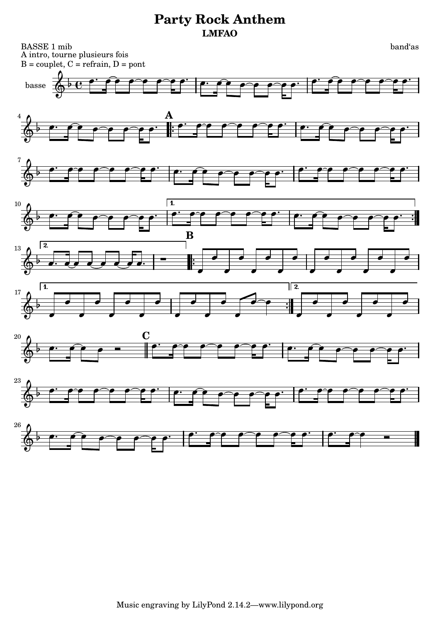BASSE 1 mib band'as A intro, tourne plusieurs fois  $B = \text{couplet}, C = \text{refrain}, D = \text{pont}$ 



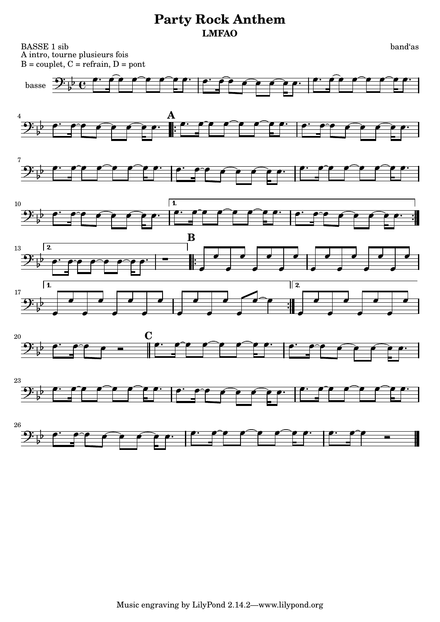BASSE 1 sib band'as A intro, tourne plusieurs fois  $B = \text{couplet}, C = \text{refrain}, D = \text{pont}$ 

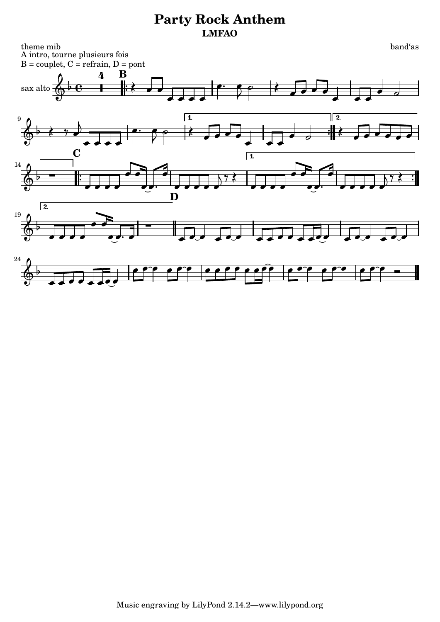theme mib band'as A intro, tourne plusieurs fois  $B = \text{couplet}, C = \text{refrain}, D = \text{pont}$ 

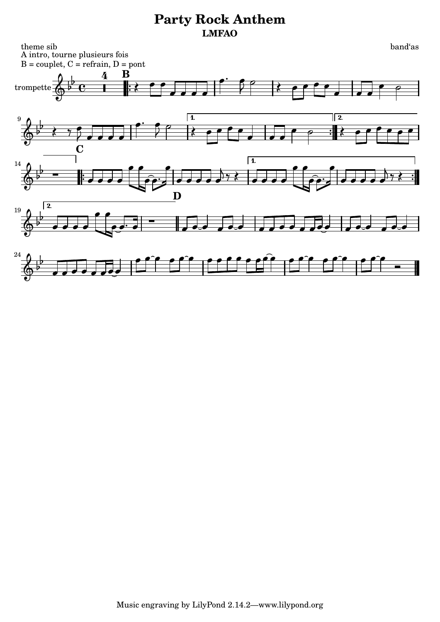theme sib band'as A intro, tourne plusieurs fois  $B = \text{couplet}, C = \text{refrain}, D = \text{pont}$ **B**  $\mathbf{P}$ 4  $\mathbf{f}$  $\frac{1}{2}$ - $\overrightarrow{p}$  -  $\overrightarrow{p}$  -  $\overrightarrow{p}$  -  $\overrightarrow{p}$  -  $\overrightarrow{p}$  -  $\overrightarrow{p}$  -  $\overrightarrow{p}$ P  $\overline{\epsilon}$  $\left\langle \begin{array}{ccc} 1 & 1 \\ 0 & 1 \end{array} \right|$  $\frac{1}{2}$  , and a set of the set of  $\frac{1}{2}$  , and  $\frac{1}{2}$  , and  $\frac{1}{2}$  , and  $\frac{1}{2}$  , and  $\frac{1}{2}$  $\overline{\mathbf{e}}$  $\overline{\mathbf{x}}$  $\overline{\mathbf{x}}$  $\bullet$  trompette  $\overline{\phantom{a}}$  $\blacksquare$  $\blacksquare$  $\overline{\phantom{a}}$   $\overline{\phantom{0}}$ 1.  $\sqrt{2}$  $\overline{\mathbf{P}}$ 9 Ŕ b -  $\overline{\mathbf{P}}$  $\overline{\mathbf{P}}$   $\overline{\phantom{0}}$  - $\frac{1}{2}$  $\frac{1}{7}$  $\overline{\blacklozenge}$  $\begin{array}{c} \hline \end{array}$  $\frac{1}{2}$  $\overline{z}$  $\blacksquare$  $\overline{\phantom{a}}$  $\overline{\phantom{a}}$  $\overline{\phantom{a}}$  $\overline{\phantom{a}}$  $\overline{\phantom{0}}$ **C**  $\overline{\phantom{a}14\phantom{a}}$   $\overline{\phantom{a}11\phantom{a}}$   $\overline{\phantom{a}14\phantom{a}}$   $\overline{\phantom{a}11\phantom{a}}$   $\overline{\phantom{a}14\phantom{a}}$   $\overline{\phantom{a}11\phantom{a}}$  $\overline{\phantom{a}}$ P  $\mathbf{r}$  $\overline{\phantom{a}}$  $\epsilon$  $\mathbf{r}$ b L  $\frac{1}{2}$  $\frac{1}{2}$  $\frac{1}{2}$  $\overline{1}$  $\left( \frac{1}{\sqrt{1-\frac{1}{\sqrt{1-\frac{1}{\sqrt{1-\frac{1}{\sqrt{1-\frac{1}{\sqrt{1-\frac{1}{\sqrt{1-\frac{1}{\sqrt{1-\frac{1}{\sqrt{1-\frac{1}{\sqrt{1-\frac{1}{\sqrt{1-\frac{1}{\sqrt{1-\frac{1}{\sqrt{1-\frac{1}{\sqrt{1-\frac{1}{\sqrt{1-\frac{1}{\sqrt{1-\frac{1}{\sqrt{1-\frac{1}{\sqrt{1-\frac{1}{\sqrt{1-\frac{1}{\sqrt{1-\frac{1}{\sqrt{1-\frac{1}{\sqrt{1-\frac{1}{\sqrt{1-\frac{1}{\sqrt{1-\frac{1}{\sqrt{1-\$  $\frac{1}{2}$  $\bullet$   $\bullet$  $\frac{1}{2}$  .  $\frac{1}{2}$  $\frac{1}{2}$  $\Phi$  $\overline{\bullet}$  $\frac{1}{\bullet \bullet}$  $\overrightarrow{\cdot}$  $\frac{1}{2}$  $\overrightarrow{1}$  $\frac{1}{\rho}$  $\overrightarrow{\cdot\cdot\cdot}$ **D**  $\sqrt{2}$ 19  $\overline{\phantom{a}}$  $\frac{1}{2}$  $\overline{\phantom{0}}$  $\overline{\mathbb{Q}}^{\frac{1}{p}}$  $\overrightarrow{O}$ <u>, a a de de de de de de de de de d</u>  $\overrightarrow{1}$  $\blacksquare$ <sup>24</sup> <u>e e e e e e e e</u>  $\rho \rightarrow \rho^{\circ} \rho \rightarrow \rho \rho$  $\rho \rho \hat{\rho}$   $\rho \hat{\rho} \hat{\rho}$  $^{\circ}$ P  $\mathbf{b}$ y processes and a property of the contract of the contract of the contract of the contract of the contract of<br>Or a contract of the contract of the contract of the contract of the contract of the contract of the contract o  $\overrightarrow{\cdot}$  $\overline{\phantom{a}}$  $\blacksquare$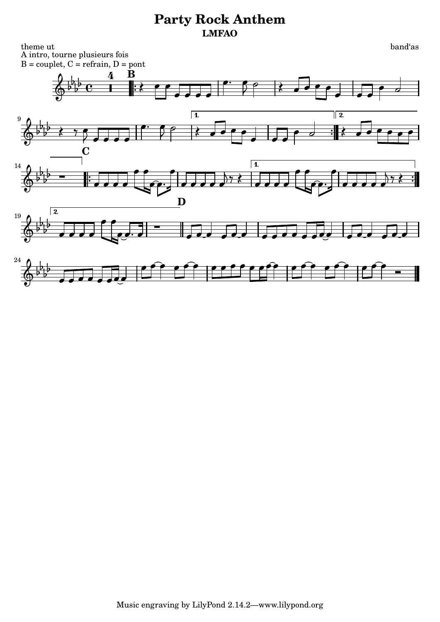theme ut band'as A intro, tourne plusieurs fois  $B = \text{couplet}, C = \text{refrain}, D = \text{pont}$